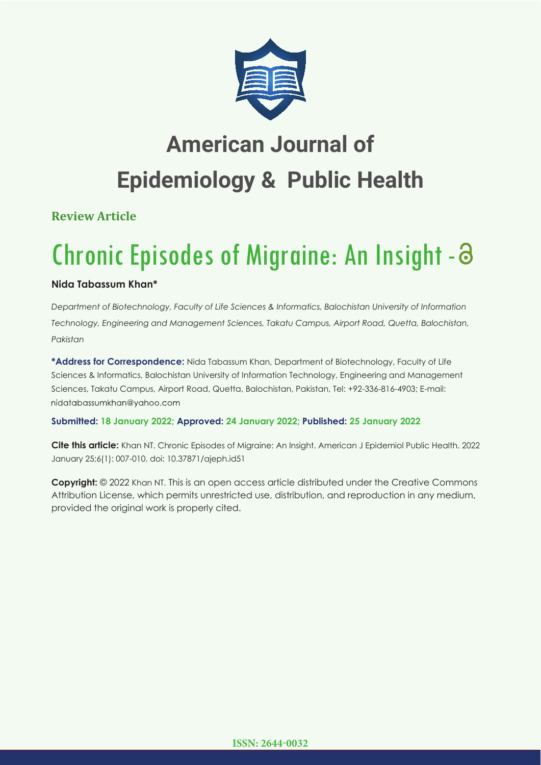

## **American Journal of Epidemiology & Public Health**

**Review Article**

# Chronic Episodes of Migraine: An Insight -

## **Nida Tabassum Khan\***

*Department of Biotechnology, Faculty of Life Sciences & Informatics, Balochistan University of Information Technology, Engineering and Management Sciences, Takatu Campus, Airport Road, Quetta, Balochistan, Pakistan*

**\*Address for Correspondence:** Nida Tabassum Khan, Department of Biotechnology, Faculty of Life Sciences & Informatics, Balochistan University of Information Technology, Engineering and Management Sciences, Takatu Campus, Airport Road, Quetta, Balochistan, Pakistan, Tel: +92-336-816-4903; E-mail: nidatabassumkhan@yahoo.com

### **Submitted: 18 January 2022; Approved: 24 January 2022; Published: 25 January 2022**

**Cite this article:** Khan NT. Chronic Episodes of Migraine: An Insight. American J Epidemiol Public Health. 2022 January 25;6(1): 007-010. doi: 10.37871/ajeph.id51

**Copyright:** © 2022 Khan NT. This is an open access article distributed under the Creative Commons Attribution License, which permits unrestricted use, distribution, and reproduction in any medium, provided the original work is properly cited.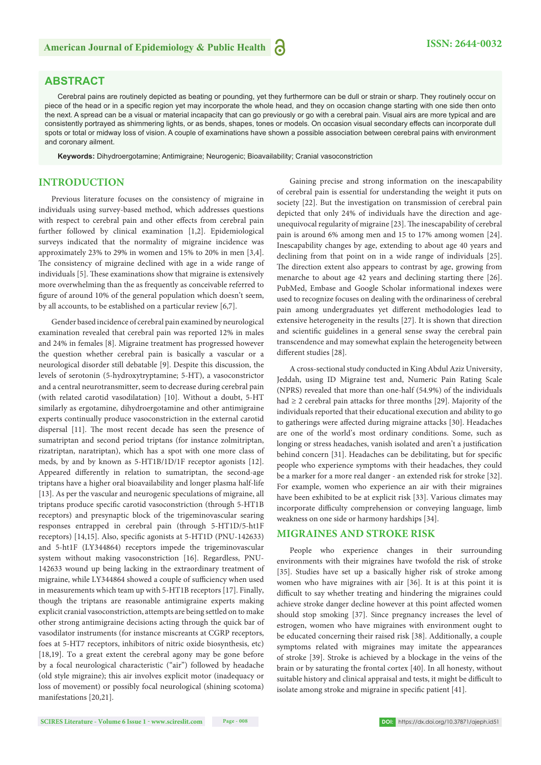#### **ABSTRACT**

Cerebral pains are routinely depicted as beating or pounding, yet they furthermore can be dull or strain or sharp. They routinely occur on piece of the head or in a specific region yet may incorporate the whole head, and they on occasion change starting with one side then onto the next. A spread can be a visual or material incapacity that can go previously or go with a cerebral pain. Visual airs are more typical and are consistently portrayed as shimmering lights, or as bends, shapes, tones or models. On occasion visual secondary effects can incorporate dull spots or total or midway loss of vision. A couple of examinations have shown a possible association between cerebral pains with environment and coronary ailment.

**Keywords:** Dihydroergotamine; Antimigraine; Neurogenic; Bioavailability; Cranial vasoconstriction

#### **INTRODUCTION**

Previous literature focuses on the consistency of migraine in individuals using survey-based method, which addresses questions with respect to cerebral pain and other effects from cerebral pain further followed by clinical examination [1,2]. Epidemiological surveys indicated that the normality of migraine incidence was approximately 23% to 29% in women and 15% to 20% in men [3,4]. The consistency of migraine declined with age in a wide range of individuals [5]. These examinations show that migraine is extensively more overwhelming than the as frequently as conceivable referred to figure of around 10% of the general population which doesn't seem, by all accounts, to be established on a particular review [6,7].

Gender based incidence of cerebral pain examined by neurological examination revealed that cerebral pain was reported 12% in males and 24% in females [8]. Migraine treatment has progressed however the question whether cerebral pain is basically a vascular or a neurological disorder still debatable [9]. Despite this discussion, the levels of serotonin (5-hydroxytryptamine; 5-HT), a vasoconstrictor and a central neurotransmitter, seem to decrease during cerebral pain (with related carotid vasodilatation) [10]. Without a doubt, 5-HT similarly as ergotamine, dihydroergotamine and other antimigraine experts continually produce vasoconstriction in the external carotid dispersal [11]. The most recent decade has seen the presence of sumatriptan and second period triptans (for instance zolmitriptan, rizatriptan, naratriptan), which has a spot with one more class of meds, by and by known as 5-HT1B/1D/1F receptor agonists [12]. Appeared differently in relation to sumatriptan, the second-age triptans have a higher oral bioavailability and longer plasma half-life [13]. As per the vascular and neurogenic speculations of migraine, all triptans produce specific carotid vasoconstriction (through 5-HT1B receptors) and presynaptic block of the trigeminovascular searing responses entrapped in cerebral pain (through 5-HT1D/5-ht1F receptors) [14,15]. Also, specific agonists at 5-HT1D (PNU-142633) and 5-ht1F (LY344864) receptors impede the trigeminovascular system without making vasoconstriction [16]. Regardless, PNU-142633 wound up being lacking in the extraordinary treatment of migraine, while LY344864 showed a couple of sufficiency when used in measurements which team up with 5-HT1B receptors [17]. Finally, though the triptans are reasonable antimigraine experts making explicit cranial vasoconstriction, attempts are being settled on to make other strong antimigraine decisions acting through the quick bar of vasodilator instruments (for instance miscreants at CGRP receptors, foes at 5-HT7 receptors, inhibitors of nitric oxide biosynthesis, etc) [18,19]. To a great extent the cerebral agony may be gone before by a focal neurological characteristic ("air") followed by headache (old style migraine); this air involves explicit motor (inadequacy or loss of movement) or possibly focal neurological (shining scotoma) manifestations [20,21].

Gaining precise and strong information on the inescapability of cerebral pain is essential for understanding the weight it puts on society [22]. But the investigation on transmission of cerebral pain depicted that only 24% of individuals have the direction and ageunequivocal regularity of migraine [23]. The inescapability of cerebral pain is around 6% among men and 15 to 17% among women [24]. Inescapability changes by age, extending to about age 40 years and declining from that point on in a wide range of individuals [25]. The direction extent also appears to contrast by age, growing from menarche to about age 42 years and declining starting there [26]. PubMed, Embase and Google Scholar informational indexes were used to recognize focuses on dealing with the ordinariness of cerebral pain among undergraduates yet different methodologies lead to extensive heterogeneity in the results [27]. It is shown that direction and scientific guidelines in a general sense sway the cerebral pain transcendence and may somewhat explain the heterogeneity between different studies [28].

A cross-sectional study conducted in King Abdul Aziz University, Jeddah, using ID Migraine test and, Numeric Pain Rating Scale (NPRS) revealed that more than one-half (54.9%) of the individuals had ≥ 2 cerebral pain attacks for three months [29]. Majority of the individuals reported that their educational execution and ability to go to gatherings were affected during migraine attacks [30]. Headaches are one of the world's most ordinary conditions. Some, such as longing or stress headaches, vanish isolated and aren't a justification behind concern [31]. Headaches can be debilitating, but for specific people who experience symptoms with their headaches, they could be a marker for a more real danger - an extended risk for stroke [32]. For example, women who experience an air with their migraines have been exhibited to be at explicit risk [33]. Various climates may incorporate difficulty comprehension or conveying language, limb weakness on one side or harmony hardships [34].

#### **MIGRAINES AND STROKE RISK**

People who experience changes in their surrounding environments with their migraines have twofold the risk of stroke [35]. Studies have set up a basically higher risk of stroke among women who have migraines with air [36]. It is at this point it is difficult to say whether treating and hindering the migraines could achieve stroke danger decline however at this point affected women should stop smoking [37]. Since pregnancy increases the level of estrogen, women who have migraines with environment ought to be educated concerning their raised risk [38]. Additionally, a couple symptoms related with migraines may imitate the appearances of stroke [39]. Stroke is achieved by a blockage in the veins of the brain or by saturating the frontal cortex [40]. In all honesty, without suitable history and clinical appraisal and tests, it might be difficult to isolate among stroke and migraine in specific patient [41].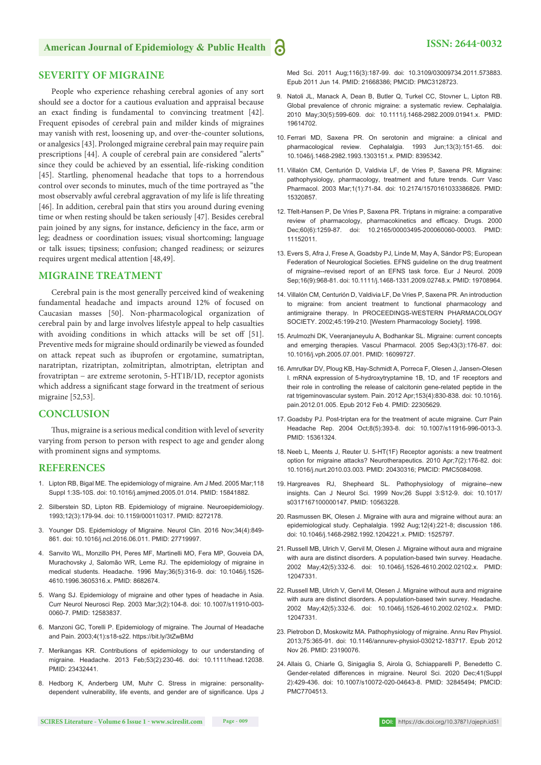#### **SEVERITY OF MIGRAINE**

People who experience rehashing cerebral agonies of any sort should see a doctor for a cautious evaluation and appraisal because an exact finding is fundamental to convincing treatment [42]. Frequent episodes of cerebral pain and milder kinds of migraines may vanish with rest, loosening up, and over-the-counter solutions, or analgesics [43]. Prolonged migraine cerebral pain may require pain prescriptions [44]. A couple of cerebral pain are considered "alerts" since they could be achieved by an essential, life-risking condition [45]. Startling, phenomenal headache that tops to a horrendous control over seconds to minutes, much of the time portrayed as "the most observably awful cerebral aggravation of my life is life threating [46]. In addition, cerebral pain that stirs you around during evening time or when resting should be taken seriously [47]. Besides cerebral pain joined by any signs, for instance, deficiency in the face, arm or leg; deadness or coordination issues; visual shortcoming; language or talk issues; tipsiness; confusion; changed readiness; or seizures requires urgent medical attention [48,49].

#### **MIGRAINE TREATMENT**

Cerebral pain is the most generally perceived kind of weakening fundamental headache and impacts around 12% of focused on Caucasian masses [50]. Non-pharmacological organization of cerebral pain by and large involves lifestyle appeal to help casualties with avoiding conditions in which attacks will be set off [51]. Preventive meds for migraine should ordinarily be viewed as founded on attack repeat such as ibuprofen or ergotamine, sumatriptan, naratriptan, rizatriptan, zolmitriptan, almotriptan, eletriptan and frovatriptan − are extreme serotonin, 5-HT1B/1D, receptor agonists which address a significant stage forward in the treatment of serious migraine [52,53].

#### **CONCLUSION**

Thus, migraine is a serious medical condition with level of severity varying from person to person with respect to age and gender along with prominent signs and symptoms.

#### **REFERENCES**

- 1. Lipton RB, Bigal ME. The epidemiology of migraine. Am J Med. 2005 Mar;118 Suppl 1:3S-10S. doi: 10.1016/j.amjmed.2005.01.014. PMID: 15841882.
- 2. Silberstein SD, Lipton RB. Epidemiology of migraine. Neuroepidemiology. 1993;12(3):179-94. doi: 10.1159/000110317. PMID: 8272178.
- 3. Younger DS. Epidemiology of Migraine. Neurol Clin. 2016 Nov;34(4):849- 861. doi: 10.1016/j.ncl.2016.06.011. PMID: 27719997.
- 4. Sanvito WL, Monzillo PH, Peres MF, Martinelli MO, Fera MP, Gouveia DA, Murachovsky J, Salomão WR, Leme RJ. The epidemiology of migraine in medical students. Headache. 1996 May;36(5):316-9. doi: 10.1046/j.1526- 4610.1996.3605316.x. PMID: 8682674.
- 5. Wang SJ. Epidemiology of migraine and other types of headache in Asia. Curr Neurol Neurosci Rep. 2003 Mar;3(2):104-8. doi: 10.1007/s11910-003- 0060-7. PMID: 12583837.
- 6. Manzoni GC, Torelli P. Epidemiology of migraine. The Journal of Headache and Pain. 2003;4(1):s18-s22. https://bit.ly/3tZwBMd
- 7. Merikangas KR. Contributions of epidemiology to our understanding of migraine. Headache. 2013 Feb;53(2):230-46. doi: 10.1111/head.12038. PMID: 23432441.
- 8. Hedborg K, Anderberg UM, Muhr C. Stress in migraine: personalitydependent vulnerability, life events, and gender are of significance. Ups J

Med Sci. 2011 Aug;116(3):187-99. doi: 10.3109/03009734.2011.573883. Epub 2011 Jun 14. PMID: 21668386; PMCID: PMC3128723.

- 9. Natoli JL, Manack A, Dean B, Butler Q, Turkel CC, Stovner L, Lipton RB. Global prevalence of chronic migraine: a systematic review. Cephalalgia. 2010 May;30(5):599-609. doi: 10.1111/j.1468-2982.2009.01941.x. PMID: 19614702.
- 10. Ferrari MD, Saxena PR. On serotonin and migraine: a clinical and pharmacological review. Cephalalgia. 1993 Jun;13(3):151-65. doi: 10.1046/j.1468-2982.1993.1303151.x. PMID: 8395342.
- 11. Villalón CM, Centurión D, Valdivia LF, de Vries P, Saxena PR. Migraine: pathophysiology, pharmacology, treatment and future trends. Curr Vasc Pharmacol. 2003 Mar;1(1):71-84. doi: 10.2174/1570161033386826. PMID: 15320857.
- 12. Tfelt-Hansen P, De Vries P, Saxena PR. Triptans in migraine: a comparative review of pharmacology, pharmacokinetics and efficacy. Drugs. 2000 Dec;60(6):1259-87. doi: 10.2165/00003495-200060060-00003. PMID: 11152011.
- 13. Evers S, Afra J, Frese A, Goadsby PJ, Linde M, May A, Sándor PS; European Federation of Neurological Societies. EFNS guideline on the drug treatment of migraine--revised report of an EFNS task force. Eur J Neurol. 2009 Sep;16(9):968-81. doi: 10.1111/j.1468-1331.2009.02748.x. PMID: 19708964.
- 14. Villalón CM, Centurión D, Valdivia LF, De Vries P, Saxena PR. An introduction to migraine: from ancient treatment to functional pharmacology and antimigraine therapy. In PROCEEDINGS-WESTERN PHARMACOLOGY SOCIETY. 2002;45:199-210. [Western Pharmacology Society]. 1998.
- 15. Arulmozhi DK, Veeranjaneyulu A, Bodhankar SL. Migraine: current concepts and emerging therapies. Vascul Pharmacol. 2005 Sep: 43(3): 176-87. doi: 10.1016/j.vph.2005.07.001. PMID: 16099727.
- 16. Amrutkar DV, Ploug KB, Hay-Schmidt A, Porreca F, Olesen J, Jansen-Olesen I. mRNA expression of 5-hydroxytryptamine 1B, 1D, and 1F receptors and their role in controlling the release of calcitonin gene-related peptide in the rat trigeminovascular system. Pain. 2012 Apr;153(4):830-838. doi: 10.1016/j. pain.2012.01.005. Epub 2012 Feb 4. PMID: 22305629.
- 17. Goadsby PJ. Post-triptan era for the treatment of acute migraine. Curr Pain Headache Rep. 2004 Oct;8(5):393-8. doi: 10.1007/s11916-996-0013-3. PMID: 15361324.
- 18. Neeb L, Meents J, Reuter U. 5-HT(1F) Receptor agonists: a new treatment option for migraine attacks? Neurotherapeutics. 2010 Apr;7(2):176-82. doi: 10.1016/j.nurt.2010.03.003. PMID: 20430316; PMCID: PMC5084098.
- 19. Hargreaves RJ, Shepheard SL. Pathophysiology of migraine--new insights. Can J Neurol Sci. 1999 Nov;26 Suppl 3:S12-9. doi: 10.1017/ s0317167100000147. PMID: 10563228.
- 20. Rasmussen BK, Olesen J. Migraine with aura and migraine without aura: an epidemiological study. Cephalalgia. 1992 Aug;12(4):221-8; discussion 186. doi: 10.1046/j.1468-2982.1992.1204221.x. PMID: 1525797.
- 21. Russell MB, Ulrich V, Gervil M, Olesen J. Migraine without aura and migraine with aura are distinct disorders. A population-based twin survey. Headache. 2002 May;42(5):332-6. doi: 10.1046/j.1526-4610.2002.02102.x. PMID: 12047331.
- 22. Russell MB, Ulrich V, Gervil M, Olesen J. Migraine without aura and migraine with aura are distinct disorders. A population-based twin survey. Headache. 2002 May;42(5):332-6. doi: 10.1046/j.1526-4610.2002.02102.x. PMID: 12047331.
- 23. Pietrobon D, Moskowitz MA. Pathophysiology of migraine. Annu Rev Physiol. 2013;75:365-91. doi: 10.1146/annurev-physiol-030212-183717. Epub 2012 Nov 26. PMID: 23190076.
- 24. Allais G, Chiarle G, Sinigaglia S, Airola G, Schiapparelli P, Benedetto C. Gender-related differences in migraine. Neurol Sci. 2020 Dec;41(Suppl 2):429-436. doi: 10.1007/s10072-020-04643-8. PMID: 32845494; PMCID: PMC7704513.